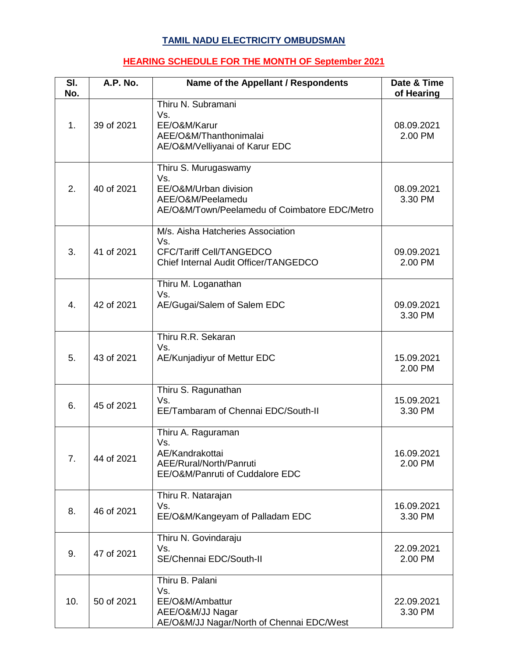## **TAMIL NADU ELECTRICITY OMBUDSMAN**

## **HEARING SCHEDULE FOR THE MONTH OF September 2021**

| SI.<br>No.     | A.P. No.   | Name of the Appellant / Respondents                                                                                        | Date & Time<br>of Hearing |
|----------------|------------|----------------------------------------------------------------------------------------------------------------------------|---------------------------|
| 1.             | 39 of 2021 | Thiru N. Subramani<br>Vs.<br>EE/O&M/Karur<br>AEE/O&M/Thanthonimalai<br>AE/O&M/Velliyanai of Karur EDC                      | 08.09.2021<br>2.00 PM     |
| 2.             | 40 of 2021 | Thiru S. Murugaswamy<br>Vs.<br>EE/O&M/Urban division<br>AEE/O&M/Peelamedu<br>AE/O&M/Town/Peelamedu of Coimbatore EDC/Metro | 08.09.2021<br>3.30 PM     |
| 3.             | 41 of 2021 | M/s. Aisha Hatcheries Association<br>Vs.<br>CFC/Tariff Cell/TANGEDCO<br>Chief Internal Audit Officer/TANGEDCO              | 09.09.2021<br>2.00 PM     |
| 4.             | 42 of 2021 | Thiru M. Loganathan<br>Vs.<br>AE/Gugai/Salem of Salem EDC                                                                  | 09.09.2021<br>3.30 PM     |
| 5.             | 43 of 2021 | Thiru R.R. Sekaran<br>Vs.<br>AE/Kunjadiyur of Mettur EDC                                                                   | 15.09.2021<br>2.00 PM     |
| 6.             | 45 of 2021 | Thiru S. Ragunathan<br>Vs.<br>EE/Tambaram of Chennai EDC/South-II                                                          | 15.09.2021<br>3.30 PM     |
| 7 <sub>1</sub> | 44 of 2021 | Thiru A. Raguraman<br>Vs.<br>AE/Kandrakottai<br>AEE/Rural/North/Panruti<br>EE/O&M/Panruti of Cuddalore EDC                 | 16.09.2021<br>2.00 PM     |
| 8.             | 46 of 2021 | Thiru R. Natarajan<br>Vs.<br>EE/O&M/Kangeyam of Palladam EDC                                                               | 16.09.2021<br>3.30 PM     |
| 9.             | 47 of 2021 | Thiru N. Govindaraju<br>Vs.<br>SE/Chennai EDC/South-II                                                                     | 22.09.2021<br>2.00 PM     |
| 10.            | 50 of 2021 | Thiru B. Palani<br>Vs.<br>EE/O&M/Ambattur<br>AEE/O&M/JJ Nagar<br>AE/O&M/JJ Nagar/North of Chennai EDC/West                 | 22.09.2021<br>3.30 PM     |